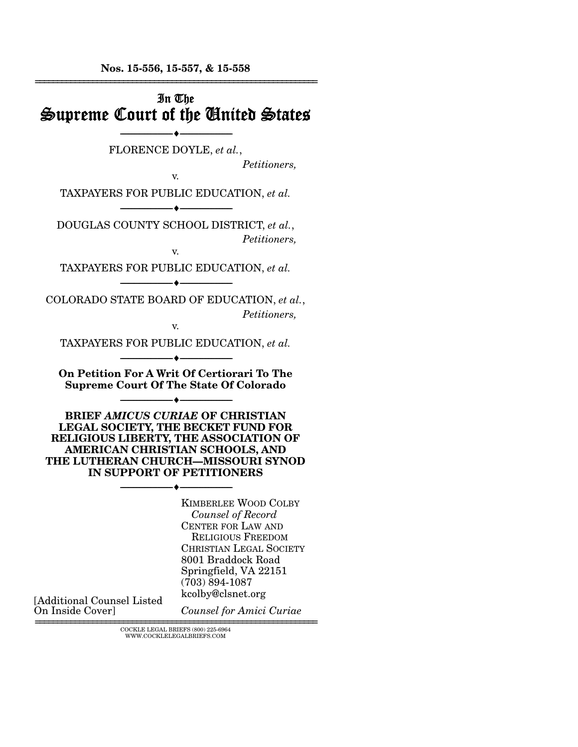**Nos. 15-556, 15-557, & 15-558** 

| In The<br>Supreme Court of the United States                                                                                                                                                                                 |
|------------------------------------------------------------------------------------------------------------------------------------------------------------------------------------------------------------------------------|
| FLORENCE DOYLE, et al.,<br>Petitioners,<br>v.                                                                                                                                                                                |
| TAXPAYERS FOR PUBLIC EDUCATION, et al.                                                                                                                                                                                       |
| DOUGLAS COUNTY SCHOOL DISTRICT, et al.,<br>Petitioners,<br>v.                                                                                                                                                                |
| TAXPAYERS FOR PUBLIC EDUCATION, et al.                                                                                                                                                                                       |
| COLORADO STATE BOARD OF EDUCATION, et al.,<br>Petitioners,<br>V.                                                                                                                                                             |
| TAXPAYERS FOR PUBLIC EDUCATION, et al.                                                                                                                                                                                       |
| On Petition For A Writ Of Certiorari To The<br><b>Supreme Court Of The State Of Colorado</b>                                                                                                                                 |
| <b>BRIEF AMICUS CURIAE OF CHRISTIAN</b><br>LEGAL SOCIETY, THE BECKET FUND FOR<br>RELIGIOUS LIBERTY, THE ASSOCIATION OF<br>AMERICAN CHRISTIAN SCHOOLS, AND<br>THE LUTHERAN CHURCH-MISSOURI SYNOD<br>IN SUPPORT OF PETITIONERS |
| <b>KIMBERLEE WOOD COLBY</b><br>Counsel of Record<br><b>CENTER FOR LAW AND</b><br><b>RELIGIOUS FREEDOM</b><br><b>CHRISTIAN LEGAL SOCIETY</b><br>8001 Braddock Road<br>Springfield, VA 22151<br>$(703) 894 - 1087$             |

================================================================ COCKLE LEGAL BRIEFS (800) 225-6964 WWW.COCKLELEGALBRIEFS.COM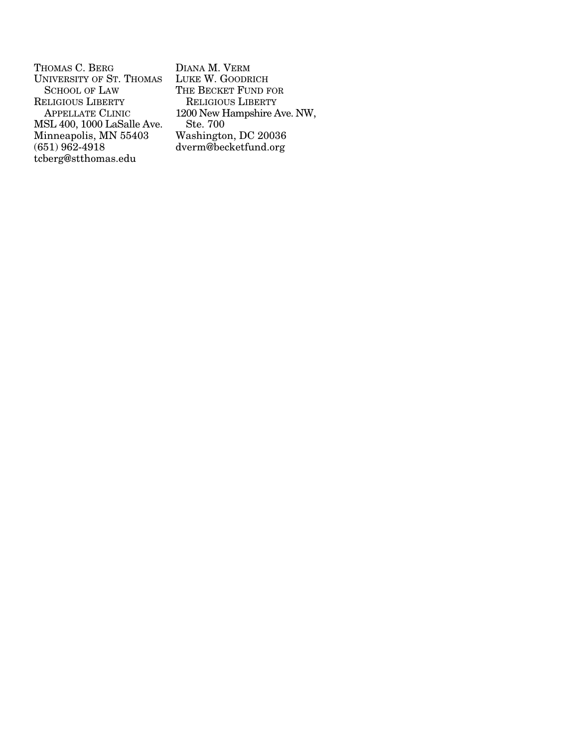THOMAS C. BERG UNIVERSITY OF ST. THOMAS SCHOOL OF LAW RELIGIOUS LIBERTY APPELLATE CLINIC MSL 400, 1000 LaSalle Ave. Minneapolis, MN 55403 (651) 962-4918 tcberg@stthomas.edu

DIANA M. VERM LUKE W. GOODRICH THE BECKET FUND FOR RELIGIOUS LIBERTY 1200 New Hampshire Ave. NW, Ste. 700 Washington, DC 20036 dverm@becketfund.org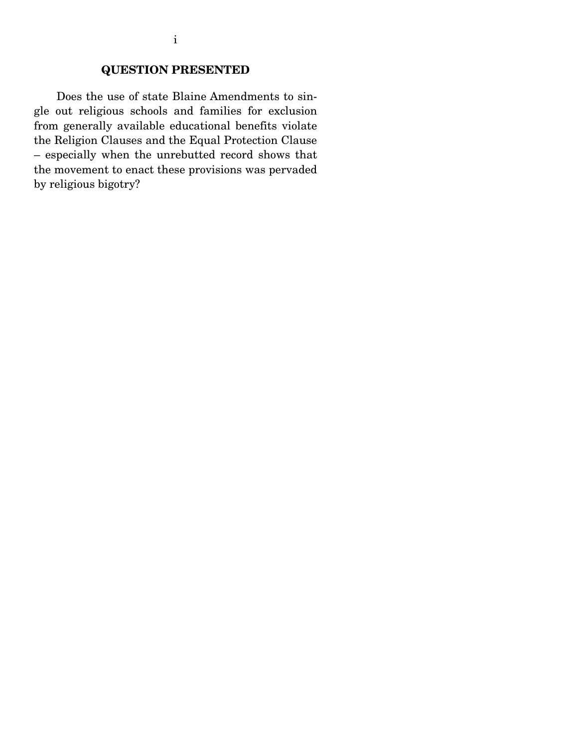# **QUESTION PRESENTED**

 Does the use of state Blaine Amendments to single out religious schools and families for exclusion from generally available educational benefits violate the Religion Clauses and the Equal Protection Clause – especially when the unrebutted record shows that the movement to enact these provisions was pervaded by religious bigotry?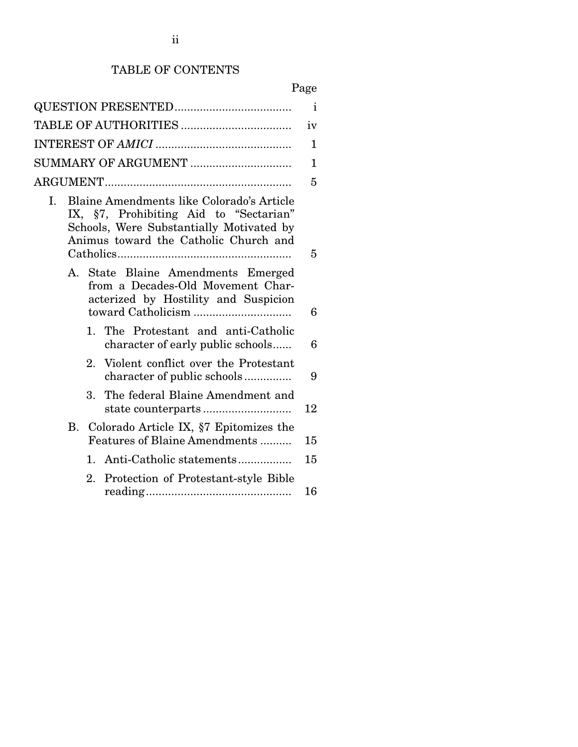# TABLE OF CONTENTS

# Page

|                                                                                                                                                                                | $\mathbf{i}$ |
|--------------------------------------------------------------------------------------------------------------------------------------------------------------------------------|--------------|
|                                                                                                                                                                                | iv           |
|                                                                                                                                                                                | 1            |
|                                                                                                                                                                                | 1            |
|                                                                                                                                                                                | 5            |
| Blaine Amendments like Colorado's Article<br>I.<br>IX, §7, Prohibiting Aid to "Sectarian"<br>Schools, Were Substantially Motivated by<br>Animus toward the Catholic Church and | 5            |
| State Blaine Amendments Emerged<br>$A_{1}$<br>from a Decades-Old Movement Char-<br>acterized by Hostility and Suspicion                                                        | 6            |
| 1. The Protestant and anti-Catholic<br>character of early public schools                                                                                                       | 6            |
| Violent conflict over the Protestant<br>2.<br>character of public schools                                                                                                      | 9            |
| The federal Blaine Amendment and<br>3.                                                                                                                                         | 12           |
| Colorado Article IX, §7 Epitomizes the<br>В.<br>Features of Blaine Amendments                                                                                                  | 15           |
| 1. Anti-Catholic statements                                                                                                                                                    | 15           |
| $2_{-}$<br>Protection of Protestant-style Bible                                                                                                                                | 16           |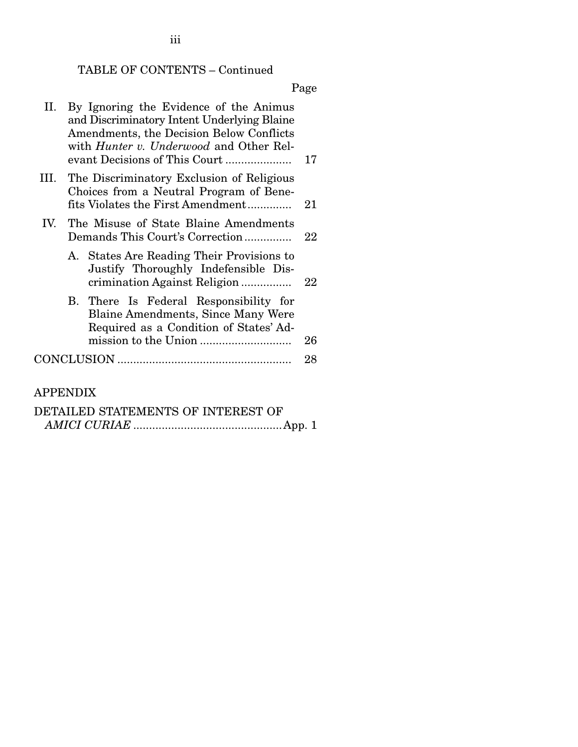# TABLE OF CONTENTS – Continued

Page

| II. | By Ignoring the Evidence of the Animus<br>and Discriminatory Intent Underlying Blaine<br>Amendments, the Decision Below Conflicts<br>with <i>Hunter v. Underwood</i> and Other Rel- | 17 |
|-----|-------------------------------------------------------------------------------------------------------------------------------------------------------------------------------------|----|
|     | III. The Discriminatory Exclusion of Religious<br>Choices from a Neutral Program of Bene-<br>fits Violates the First Amendment                                                      | 21 |
| IV. | The Misuse of State Blaine Amendments<br>Demands This Court's Correction                                                                                                            | 22 |
|     | A. States Are Reading Their Provisions to<br>Justify Thoroughly Indefensible Dis-<br>crimination Against Religion                                                                   | 22 |
|     | B. There Is Federal Responsibility for<br><b>Blaine Amendments, Since Many Were</b><br>Required as a Condition of States' Ad-                                                       |    |
|     |                                                                                                                                                                                     | 26 |
|     |                                                                                                                                                                                     | 28 |
|     |                                                                                                                                                                                     |    |

# APPENDIX

| DETAILED STATEMENTS OF INTEREST OF |  |
|------------------------------------|--|
|                                    |  |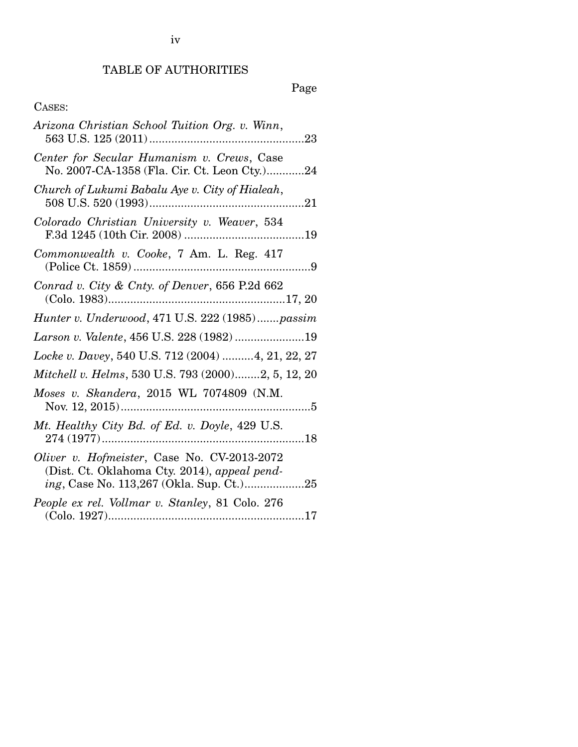# TABLE OF AUTHORITIES

iv

Page

# CASES:

| Arizona Christian School Tuition Org. v. Winn,                                              |
|---------------------------------------------------------------------------------------------|
| Center for Secular Humanism v. Crews, Case<br>No. 2007-CA-1358 (Fla. Cir. Ct. Leon Cty.)24  |
| Church of Lukumi Babalu Aye v. City of Hialeah,                                             |
| Colorado Christian University v. Weaver, 534                                                |
| Commonwealth v. Cooke, 7 Am. L. Reg. 417                                                    |
| Conrad v. City & Cnty. of Denver, 656 P.2d 662                                              |
| Hunter v. Underwood, 471 U.S. 222 (1985)passim                                              |
| Larson v. Valente, 456 U.S. 228 (1982) 19                                                   |
| Locke v. Davey, 540 U.S. 712 (2004)  4, 21, 22, 27                                          |
| Mitchell v. Helms, 530 U.S. 793 (2000)2, 5, 12, 20                                          |
| Moses v. Skandera, 2015 WL 7074809 (N.M.                                                    |
| Mt. Healthy City Bd. of Ed. v. Doyle, 429 U.S.                                              |
| Oliver v. Hofmeister, Case No. CV-2013-2072<br>(Dist. Ct. Oklahoma Cty. 2014), appeal pend- |
| People ex rel. Vollmar v. Stanley, 81 Colo. 276                                             |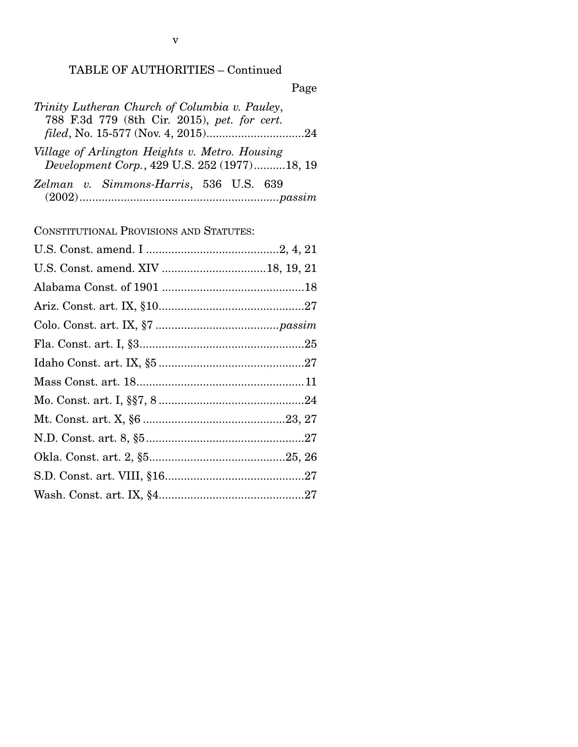# TABLE OF AUTHORITIES – Continued

|--|

| Trinity Lutheran Church of Columbia v. Pauley,                                                 |  |
|------------------------------------------------------------------------------------------------|--|
| 788 F.3d 779 (8th Cir. 2015), pet. for cert.                                                   |  |
|                                                                                                |  |
| Village of Arlington Heights v. Metro. Housing<br>Development Corp., 429 U.S. 252 (1977)18, 19 |  |

|  | Zelman v. Simmons-Harris, 536 U.S. 639 |  |  |
|--|----------------------------------------|--|--|
|  |                                        |  |  |

CONSTITUTIONAL PROVISIONS AND STATUTES: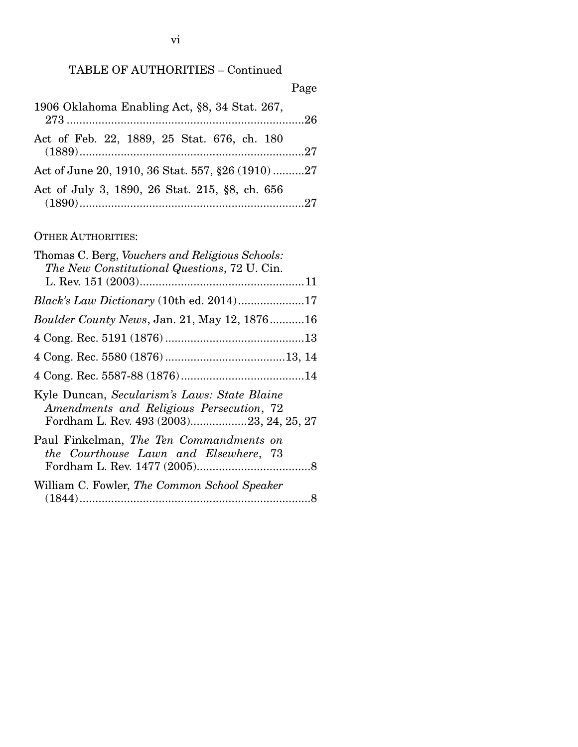# TABLE OF AUTHORITIES – Continued

|                                                  | Page |
|--------------------------------------------------|------|
| 1906 Oklahoma Enabling Act, §8, 34 Stat. 267,    |      |
| Act of Feb. 22, 1889, 25 Stat. 676, ch. 180      |      |
| Act of June 20, 1910, 36 Stat. 557, §26 (1910)27 |      |
| Act of July 3, 1890, 26 Stat. 215, §8, ch. 656   |      |

# OTHER AUTHORITIES:

| Thomas C. Berg, Vouchers and Religious Schools:<br>The New Constitutional Questions, 72 U. Cin.                                      |
|--------------------------------------------------------------------------------------------------------------------------------------|
|                                                                                                                                      |
|                                                                                                                                      |
| <i>Boulder County News, Jan. 21, May 12, 187616</i>                                                                                  |
|                                                                                                                                      |
|                                                                                                                                      |
|                                                                                                                                      |
| Kyle Duncan, Secularism's Laws: State Blaine<br>Amendments and Religious Persecution, 72<br>Fordham L. Rev. 493 (2003)23, 24, 25, 27 |
| Paul Finkelman, The Ten Commandments on<br>the Courthouse Lawn and Elsewhere, 73                                                     |
| William C. Fowler, The Common School Speaker                                                                                         |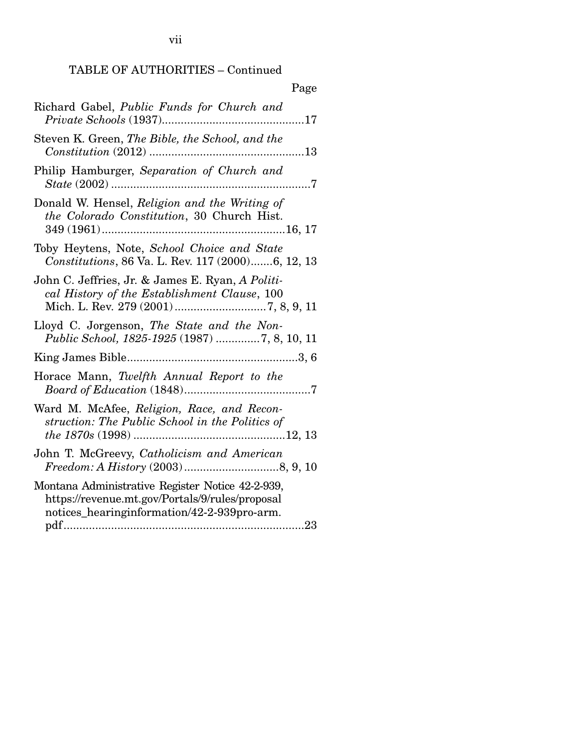TABLE OF AUTHORITIES – Continued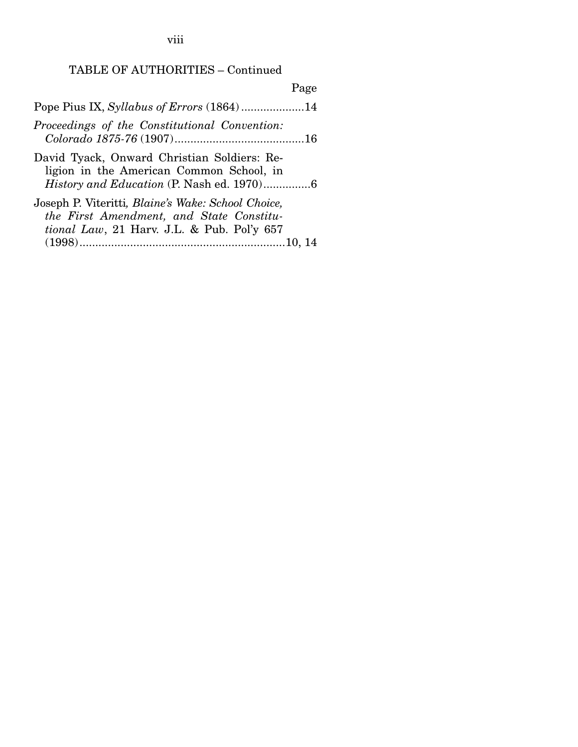viii

# TABLE OF AUTHORITIES – Continued

|                                                                                                                                                              | Page |
|--------------------------------------------------------------------------------------------------------------------------------------------------------------|------|
|                                                                                                                                                              |      |
| Proceedings of the Constitutional Convention:                                                                                                                |      |
| David Tyack, Onward Christian Soldiers: Re-<br>ligion in the American Common School, in                                                                      |      |
| Joseph P. Viteritti, <i>Blaine's Wake: School Choice</i> ,<br>the First Amendment, and State Constitu-<br><i>tional Law</i> , 21 Harv. J.L. & Pub. Pol'y 657 |      |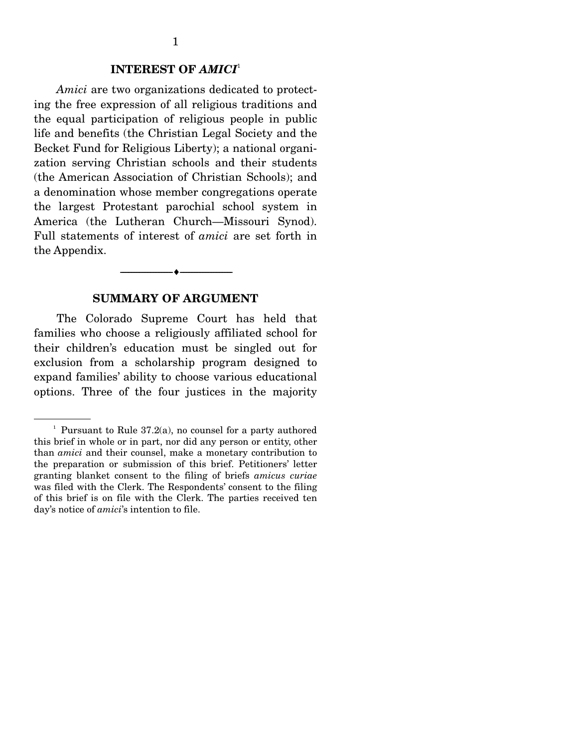### **INTEREST OF** *AMICI*<sup>1</sup>

*Amici* are two organizations dedicated to protecting the free expression of all religious traditions and the equal participation of religious people in public life and benefits (the Christian Legal Society and the Becket Fund for Religious Liberty); a national organization serving Christian schools and their students (the American Association of Christian Schools); and a denomination whose member congregations operate the largest Protestant parochial school system in America (the Lutheran Church—Missouri Synod). Full statements of interest of *amici* are set forth in the Appendix.

#### **SUMMARY OF ARGUMENT**

--------------------------------- ---------------------------------

 The Colorado Supreme Court has held that families who choose a religiously affiliated school for their children's education must be singled out for exclusion from a scholarship program designed to expand families' ability to choose various educational options. Three of the four justices in the majority

<sup>&</sup>lt;sup>1</sup> Pursuant to Rule  $37.2(a)$ , no counsel for a party authored this brief in whole or in part, nor did any person or entity, other than *amici* and their counsel, make a monetary contribution to the preparation or submission of this brief. Petitioners' letter granting blanket consent to the filing of briefs *amicus curiae*  was filed with the Clerk. The Respondents' consent to the filing of this brief is on file with the Clerk. The parties received ten day's notice of *amici*'s intention to file.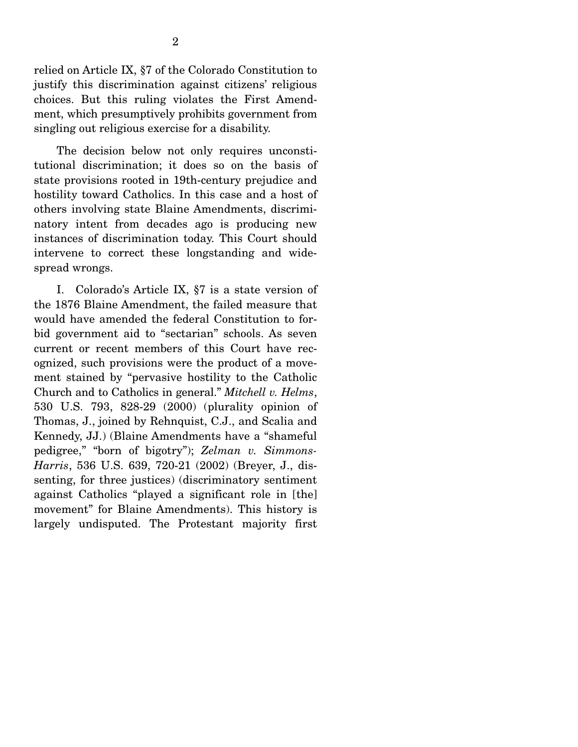relied on Article IX, §7 of the Colorado Constitution to justify this discrimination against citizens' religious choices. But this ruling violates the First Amendment, which presumptively prohibits government from singling out religious exercise for a disability.

 The decision below not only requires unconstitutional discrimination; it does so on the basis of state provisions rooted in 19th-century prejudice and hostility toward Catholics. In this case and a host of others involving state Blaine Amendments, discriminatory intent from decades ago is producing new instances of discrimination today. This Court should intervene to correct these longstanding and widespread wrongs.

 I. Colorado's Article IX, §7 is a state version of the 1876 Blaine Amendment, the failed measure that would have amended the federal Constitution to forbid government aid to "sectarian" schools. As seven current or recent members of this Court have recognized, such provisions were the product of a movement stained by "pervasive hostility to the Catholic Church and to Catholics in general." *Mitchell v. Helms*, 530 U.S. 793, 828-29 (2000) (plurality opinion of Thomas, J., joined by Rehnquist, C.J., and Scalia and Kennedy, JJ.) (Blaine Amendments have a "shameful pedigree," "born of bigotry"); *Zelman v. Simmons-Harris*, 536 U.S. 639, 720-21 (2002) (Breyer, J., dissenting, for three justices) (discriminatory sentiment against Catholics "played a significant role in [the] movement" for Blaine Amendments). This history is largely undisputed. The Protestant majority first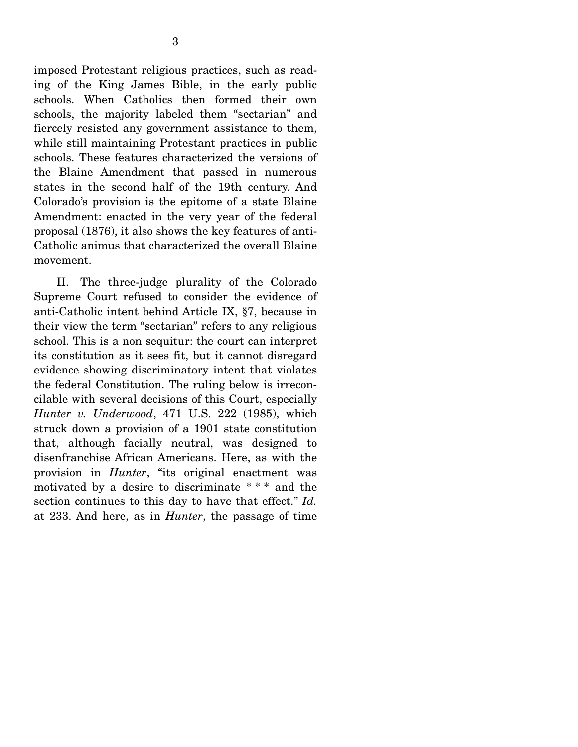imposed Protestant religious practices, such as reading of the King James Bible, in the early public schools. When Catholics then formed their own schools, the majority labeled them "sectarian" and fiercely resisted any government assistance to them, while still maintaining Protestant practices in public schools. These features characterized the versions of the Blaine Amendment that passed in numerous states in the second half of the 19th century. And Colorado's provision is the epitome of a state Blaine Amendment: enacted in the very year of the federal proposal (1876), it also shows the key features of anti-Catholic animus that characterized the overall Blaine movement.

 II. The three-judge plurality of the Colorado Supreme Court refused to consider the evidence of anti-Catholic intent behind Article IX, §7, because in their view the term "sectarian" refers to any religious school. This is a non sequitur: the court can interpret its constitution as it sees fit, but it cannot disregard evidence showing discriminatory intent that violates the federal Constitution. The ruling below is irreconcilable with several decisions of this Court, especially *Hunter v. Underwood*, 471 U.S. 222 (1985), which struck down a provision of a 1901 state constitution that, although facially neutral, was designed to disenfranchise African Americans. Here, as with the provision in *Hunter*, "its original enactment was motivated by a desire to discriminate \* \* \* and the section continues to this day to have that effect." *Id.* at 233. And here, as in *Hunter*, the passage of time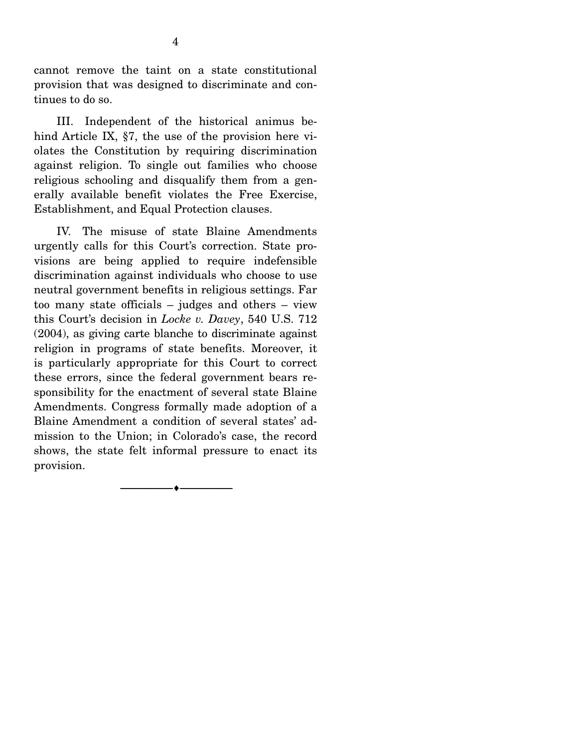cannot remove the taint on a state constitutional provision that was designed to discriminate and continues to do so.

 III. Independent of the historical animus behind Article IX, §7, the use of the provision here violates the Constitution by requiring discrimination against religion. To single out families who choose religious schooling and disqualify them from a generally available benefit violates the Free Exercise, Establishment, and Equal Protection clauses.

 IV. The misuse of state Blaine Amendments urgently calls for this Court's correction. State provisions are being applied to require indefensible discrimination against individuals who choose to use neutral government benefits in religious settings. Far too many state officials – judges and others – view this Court's decision in *Locke v. Davey*, 540 U.S. 712 (2004), as giving carte blanche to discriminate against religion in programs of state benefits. Moreover, it is particularly appropriate for this Court to correct these errors, since the federal government bears responsibility for the enactment of several state Blaine Amendments. Congress formally made adoption of a Blaine Amendment a condition of several states' admission to the Union; in Colorado's case, the record shows, the state felt informal pressure to enact its provision.

--------------------------------- ---------------------------------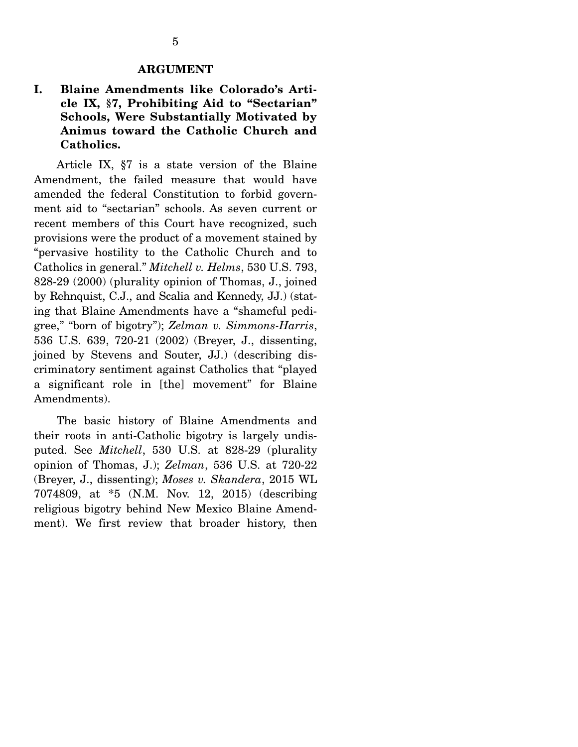#### **ARGUMENT**

# **I. Blaine Amendments like Colorado's Article IX, §7, Prohibiting Aid to "Sectarian" Schools, Were Substantially Motivated by Animus toward the Catholic Church and Catholics.**

 Article IX, §7 is a state version of the Blaine Amendment, the failed measure that would have amended the federal Constitution to forbid government aid to "sectarian" schools. As seven current or recent members of this Court have recognized, such provisions were the product of a movement stained by "pervasive hostility to the Catholic Church and to Catholics in general." *Mitchell v. Helms*, 530 U.S. 793, 828-29 (2000) (plurality opinion of Thomas, J., joined by Rehnquist, C.J., and Scalia and Kennedy, JJ.) (stating that Blaine Amendments have a "shameful pedigree," "born of bigotry"); *Zelman v. Simmons-Harris*, 536 U.S. 639, 720-21 (2002) (Breyer, J., dissenting, joined by Stevens and Souter, JJ.) (describing discriminatory sentiment against Catholics that "played a significant role in [the] movement" for Blaine Amendments).

 The basic history of Blaine Amendments and their roots in anti-Catholic bigotry is largely undisputed. See *Mitchell*, 530 U.S. at 828-29 (plurality opinion of Thomas, J.); *Zelman*, 536 U.S. at 720-22 (Breyer, J., dissenting); *Moses v. Skandera*, 2015 WL 7074809, at \*5 (N.M. Nov. 12, 2015) (describing religious bigotry behind New Mexico Blaine Amendment). We first review that broader history, then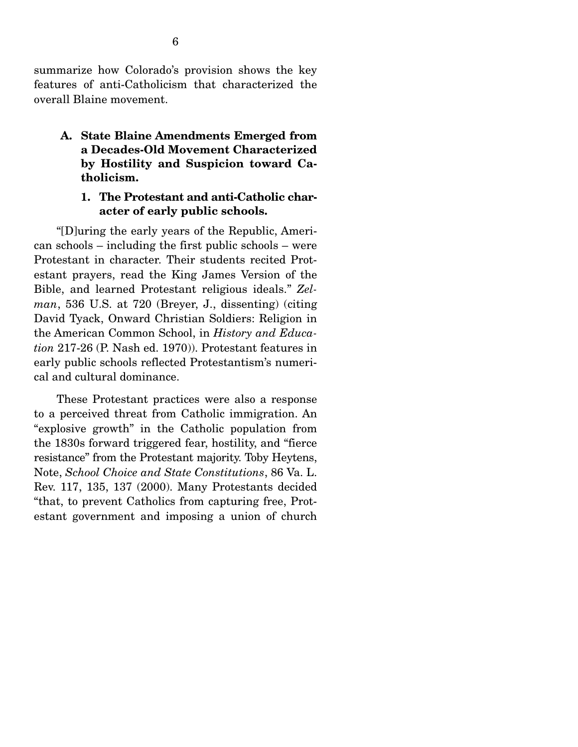summarize how Colorado's provision shows the key features of anti-Catholicism that characterized the overall Blaine movement.

**A. State Blaine Amendments Emerged from a Decades-Old Movement Characterized by Hostility and Suspicion toward Catholicism.** 

### **1. The Protestant and anti-Catholic character of early public schools.**

 "[D]uring the early years of the Republic, American schools – including the first public schools – were Protestant in character. Their students recited Protestant prayers, read the King James Version of the Bible, and learned Protestant religious ideals." *Zelman*, 536 U.S. at 720 (Breyer, J., dissenting) (citing David Tyack, Onward Christian Soldiers: Religion in the American Common School, in *History and Education* 217-26 (P. Nash ed. 1970)). Protestant features in early public schools reflected Protestantism's numerical and cultural dominance.

 These Protestant practices were also a response to a perceived threat from Catholic immigration. An "explosive growth" in the Catholic population from the 1830s forward triggered fear, hostility, and "fierce resistance" from the Protestant majority. Toby Heytens, Note, *School Choice and State Constitutions*, 86 Va. L. Rev. 117, 135, 137 (2000). Many Protestants decided "that, to prevent Catholics from capturing free, Protestant government and imposing a union of church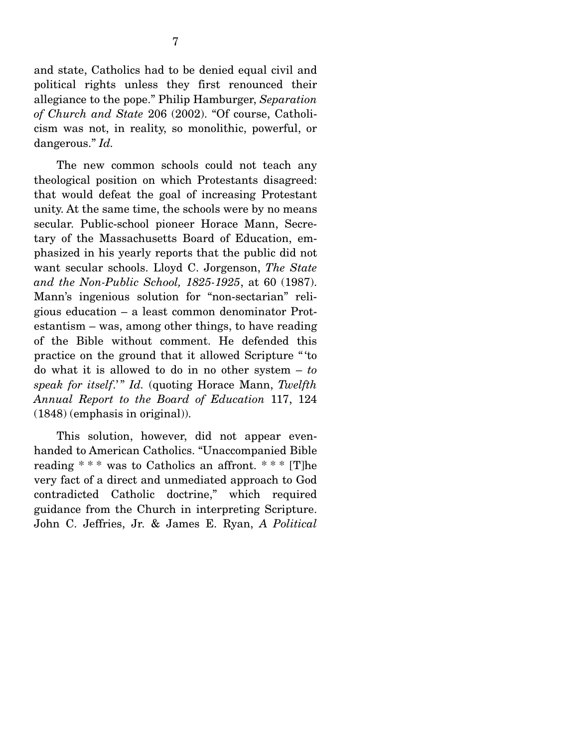The new common schools could not teach any theological position on which Protestants disagreed: that would defeat the goal of increasing Protestant unity. At the same time, the schools were by no means secular. Public-school pioneer Horace Mann, Secretary of the Massachusetts Board of Education, emphasized in his yearly reports that the public did not want secular schools. Lloyd C. Jorgenson, *The State and the Non-Public School, 1825-1925*, at 60 (1987). Mann's ingenious solution for "non-sectarian" religious education – a least common denominator Protestantism – was, among other things, to have reading of the Bible without comment. He defended this practice on the ground that it allowed Scripture " 'to do what it is allowed to do in no other system – *to speak for itself.*" *Id.* (quoting Horace Mann, *Twelfth Annual Report to the Board of Education* 117, 124 (1848) (emphasis in original)).

 This solution, however, did not appear evenhanded to American Catholics. "Unaccompanied Bible reading  $***$  was to Catholics an affront.  $***$  [T]he very fact of a direct and unmediated approach to God contradicted Catholic doctrine," which required guidance from the Church in interpreting Scripture. John C. Jeffries, Jr. & James E. Ryan, *A Political*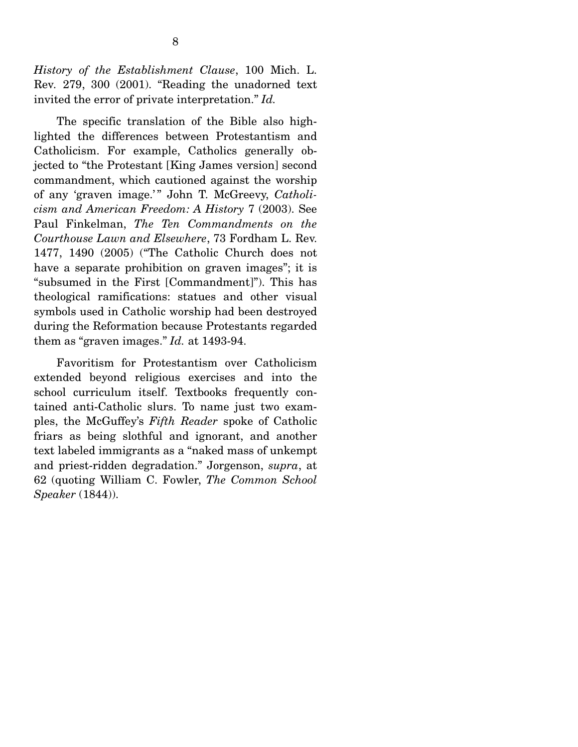*History of the Establishment Clause*, 100 Mich. L. Rev*.* 279, 300 (2001). "Reading the unadorned text invited the error of private interpretation." *Id.*

 The specific translation of the Bible also highlighted the differences between Protestantism and Catholicism. For example, Catholics generally objected to "the Protestant [King James version] second commandment, which cautioned against the worship of any 'graven image.'" John T. McGreevy, *Catholicism and American Freedom: A History* 7 (2003). See Paul Finkelman, *The Ten Commandments on the Courthouse Lawn and Elsewhere*, 73 Fordham L. Rev. 1477, 1490 (2005) ("The Catholic Church does not have a separate prohibition on graven images"; it is "subsumed in the First [Commandment]"). This has theological ramifications: statues and other visual symbols used in Catholic worship had been destroyed during the Reformation because Protestants regarded them as "graven images." *Id.* at 1493-94.

 Favoritism for Protestantism over Catholicism extended beyond religious exercises and into the school curriculum itself. Textbooks frequently contained anti-Catholic slurs. To name just two examples, the McGuffey's *Fifth Reader* spoke of Catholic friars as being slothful and ignorant, and another text labeled immigrants as a "naked mass of unkempt and priest-ridden degradation." Jorgenson, *supra*, at 62 (quoting William C. Fowler, *The Common School Speaker* (1844)).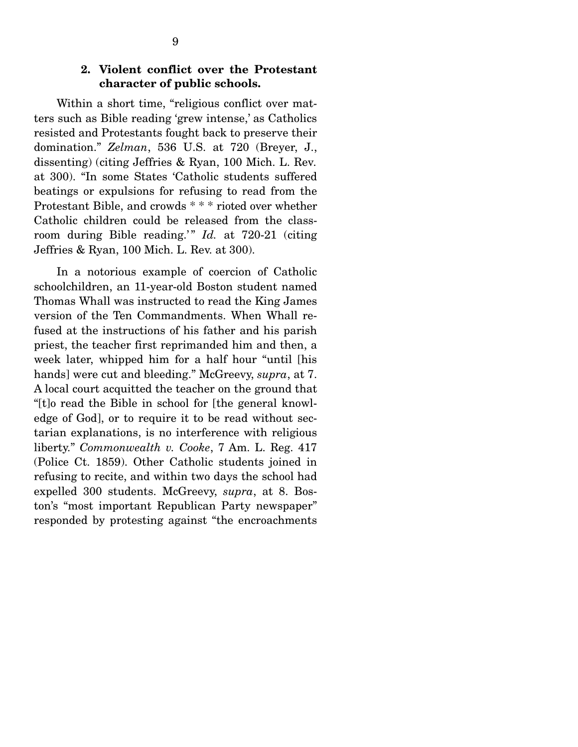## **2. Violent conflict over the Protestant character of public schools.**

Within a short time, "religious conflict over matters such as Bible reading 'grew intense,' as Catholics resisted and Protestants fought back to preserve their domination." *Zelman*, 536 U.S. at 720 (Breyer, J., dissenting) (citing Jeffries & Ryan, 100 Mich. L. Rev*.*  at 300). "In some States 'Catholic students suffered beatings or expulsions for refusing to read from the Protestant Bible, and crowds \* \* \* rioted over whether Catholic children could be released from the classroom during Bible reading.<sup>3</sup> *Id.* at 720-21 (citing Jeffries & Ryan, 100 Mich. L. Rev. at 300).

 In a notorious example of coercion of Catholic schoolchildren, an 11-year-old Boston student named Thomas Whall was instructed to read the King James version of the Ten Commandments. When Whall refused at the instructions of his father and his parish priest, the teacher first reprimanded him and then, a week later, whipped him for a half hour "until [his hands] were cut and bleeding." McGreevy, *supra*, at 7. A local court acquitted the teacher on the ground that "[t]o read the Bible in school for [the general knowledge of God], or to require it to be read without sectarian explanations, is no interference with religious liberty." *Commonwealth v. Cooke*, 7 Am. L. Reg. 417 (Police Ct. 1859). Other Catholic students joined in refusing to recite, and within two days the school had expelled 300 students. McGreevy, *supra*, at 8. Boston's "most important Republican Party newspaper" responded by protesting against "the encroachments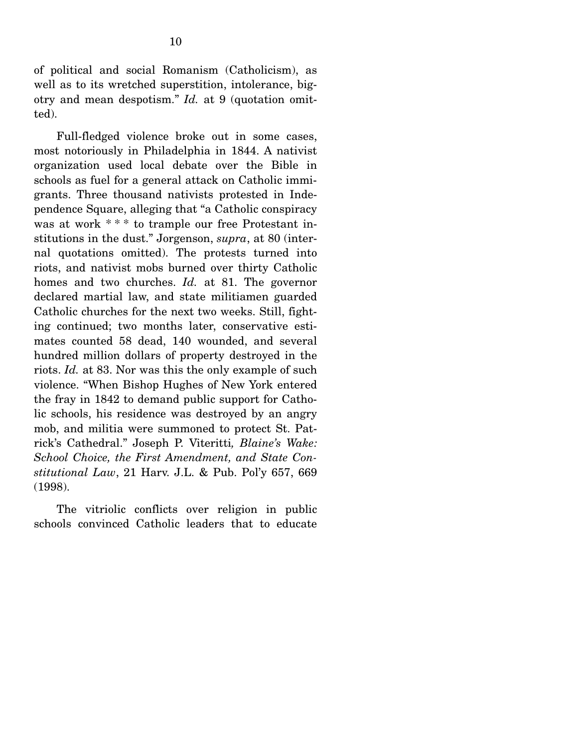of political and social Romanism (Catholicism), as well as to its wretched superstition, intolerance, bigotry and mean despotism." *Id.* at 9 (quotation omitted).

 Full-fledged violence broke out in some cases, most notoriously in Philadelphia in 1844. A nativist organization used local debate over the Bible in schools as fuel for a general attack on Catholic immigrants. Three thousand nativists protested in Independence Square, alleging that "a Catholic conspiracy was at work \*\*\* to trample our free Protestant institutions in the dust." Jorgenson, *supra*, at 80 (internal quotations omitted). The protests turned into riots, and nativist mobs burned over thirty Catholic homes and two churches. *Id.* at 81. The governor declared martial law, and state militiamen guarded Catholic churches for the next two weeks. Still, fighting continued; two months later, conservative estimates counted 58 dead, 140 wounded, and several hundred million dollars of property destroyed in the riots. *Id.* at 83. Nor was this the only example of such violence. "When Bishop Hughes of New York entered the fray in 1842 to demand public support for Catholic schools, his residence was destroyed by an angry mob, and militia were summoned to protect St. Patrick's Cathedral." Joseph P. Viteritti*, Blaine's Wake: School Choice, the First Amendment, and State Constitutional Law*, 21 Harv. J.L. & Pub. Pol'y 657, 669 (1998).

 The vitriolic conflicts over religion in public schools convinced Catholic leaders that to educate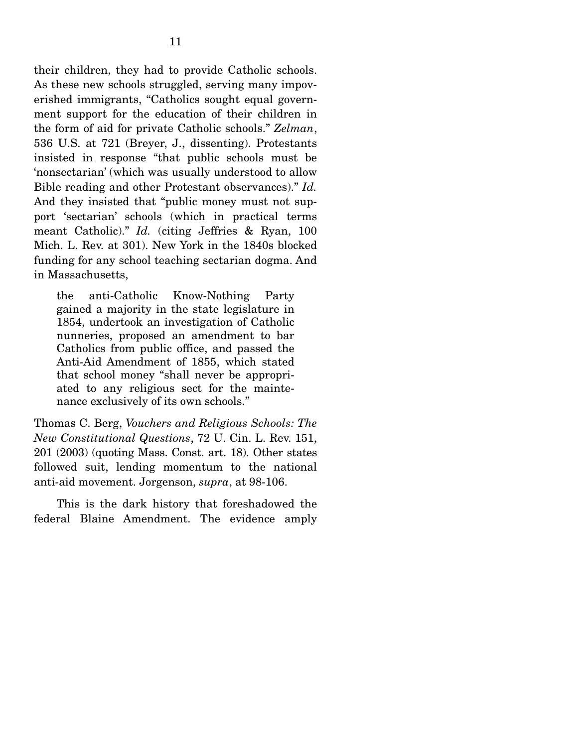their children, they had to provide Catholic schools. As these new schools struggled, serving many impoverished immigrants, "Catholics sought equal government support for the education of their children in the form of aid for private Catholic schools." *Zelman*, 536 U.S. at 721 (Breyer, J., dissenting). Protestants insisted in response "that public schools must be 'nonsectarian' (which was usually understood to allow Bible reading and other Protestant observances)." *Id.*  And they insisted that "public money must not support 'sectarian' schools (which in practical terms meant Catholic)." *Id.* (citing Jeffries & Ryan, 100 Mich. L. Rev. at 301). New York in the 1840s blocked funding for any school teaching sectarian dogma. And in Massachusetts,

the anti-Catholic Know-Nothing Party gained a majority in the state legislature in 1854, undertook an investigation of Catholic nunneries, proposed an amendment to bar Catholics from public office, and passed the Anti-Aid Amendment of 1855, which stated that school money "shall never be appropriated to any religious sect for the maintenance exclusively of its own schools."

Thomas C. Berg, *Vouchers and Religious Schools: The New Constitutional Questions*, 72 U. Cin. L. Rev. 151, 201 (2003) (quoting Mass. Const. art. 18). Other states followed suit, lending momentum to the national anti-aid movement. Jorgenson, *supra*, at 98-106.

 This is the dark history that foreshadowed the federal Blaine Amendment. The evidence amply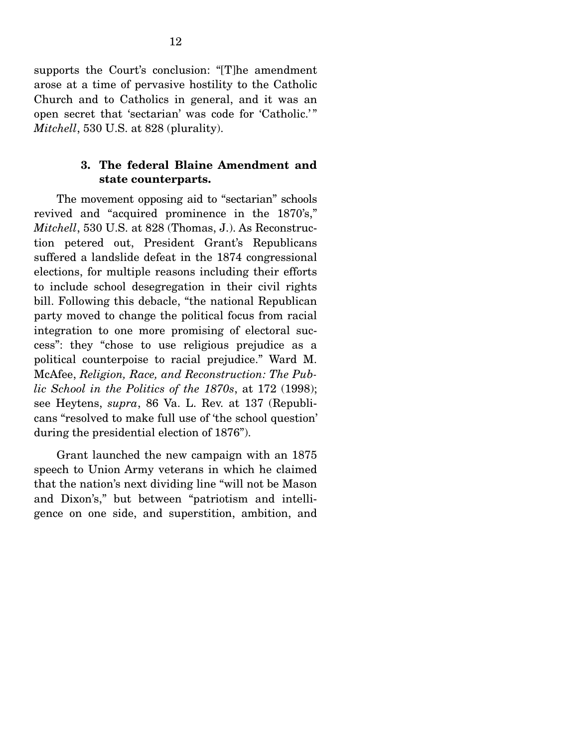supports the Court's conclusion: "[T]he amendment arose at a time of pervasive hostility to the Catholic Church and to Catholics in general, and it was an open secret that 'sectarian' was code for 'Catholic.'" *Mitchell*, 530 U.S. at 828 (plurality).

### **3. The federal Blaine Amendment and state counterparts.**

 The movement opposing aid to "sectarian" schools revived and "acquired prominence in the 1870's," *Mitchell*, 530 U.S. at 828 (Thomas, J.). As Reconstruction petered out, President Grant's Republicans suffered a landslide defeat in the 1874 congressional elections, for multiple reasons including their efforts to include school desegregation in their civil rights bill. Following this debacle, "the national Republican party moved to change the political focus from racial integration to one more promising of electoral success": they "chose to use religious prejudice as a political counterpoise to racial prejudice." Ward M. McAfee, *Religion, Race, and Reconstruction: The Public School in the Politics of the 1870s*, at 172 (1998); see Heytens, *supra*, 86 Va. L. Rev. at 137 (Republicans "resolved to make full use of 'the school question' during the presidential election of 1876").

 Grant launched the new campaign with an 1875 speech to Union Army veterans in which he claimed that the nation's next dividing line "will not be Mason and Dixon's," but between "patriotism and intelligence on one side, and superstition, ambition, and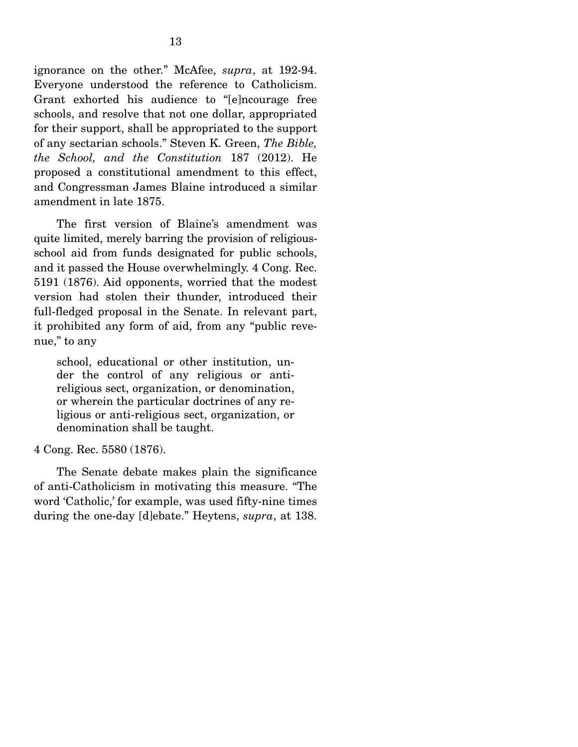ignorance on the other." McAfee, *supra*, at 192-94. Everyone understood the reference to Catholicism. Grant exhorted his audience to "[e]ncourage free schools, and resolve that not one dollar, appropriated for their support, shall be appropriated to the support of any sectarian schools." Steven K. Green, *The Bible, the School, and the Constitution* 187 (2012). He proposed a constitutional amendment to this effect, and Congressman James Blaine introduced a similar amendment in late 1875.

 The first version of Blaine's amendment was quite limited, merely barring the provision of religiousschool aid from funds designated for public schools, and it passed the House overwhelmingly. 4 Cong. Rec. 5191 (1876). Aid opponents, worried that the modest version had stolen their thunder, introduced their full-fledged proposal in the Senate. In relevant part, it prohibited any form of aid, from any "public revenue," to any

school, educational or other institution, under the control of any religious or antireligious sect, organization, or denomination, or wherein the particular doctrines of any religious or anti-religious sect, organization, or denomination shall be taught.

#### 4 Cong. Rec. 5580 (1876).

 The Senate debate makes plain the significance of anti-Catholicism in motivating this measure. "The word 'Catholic,' for example, was used fifty-nine times during the one-day [d]ebate." Heytens, *supra*, at 138.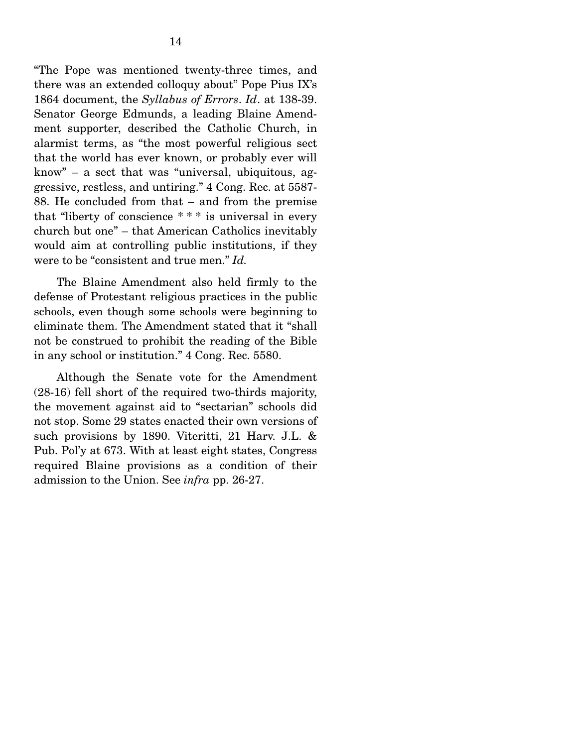"The Pope was mentioned twenty-three times, and there was an extended colloquy about" Pope Pius IX's 1864 document, the *Syllabus of Errors*. *Id*. at 138-39. Senator George Edmunds, a leading Blaine Amendment supporter, described the Catholic Church, in alarmist terms, as "the most powerful religious sect that the world has ever known, or probably ever will know" – a sect that was "universal, ubiquitous, aggressive, restless, and untiring." 4 Cong. Rec. at 5587- 88. He concluded from that – and from the premise that "liberty of conscience \* \* \* is universal in every church but one" – that American Catholics inevitably would aim at controlling public institutions, if they were to be "consistent and true men." *Id.*

The Blaine Amendment also held firmly to the defense of Protestant religious practices in the public schools, even though some schools were beginning to eliminate them. The Amendment stated that it "shall not be construed to prohibit the reading of the Bible in any school or institution." 4 Cong. Rec. 5580.

 Although the Senate vote for the Amendment (28-16) fell short of the required two-thirds majority, the movement against aid to "sectarian" schools did not stop. Some 29 states enacted their own versions of such provisions by 1890. Viteritti, 21 Harv. J.L. & Pub. Pol'y at 673. With at least eight states, Congress required Blaine provisions as a condition of their admission to the Union. See *infra* pp. 26-27.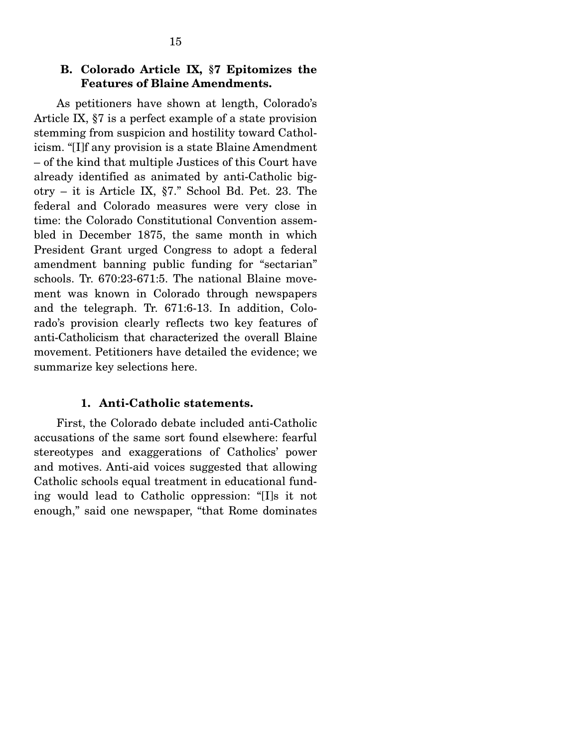## **B. Colorado Article IX, §7 Epitomizes the Features of Blaine Amendments.**

 As petitioners have shown at length, Colorado's Article IX, §7 is a perfect example of a state provision stemming from suspicion and hostility toward Catholicism. "[I]f any provision is a state Blaine Amendment – of the kind that multiple Justices of this Court have already identified as animated by anti-Catholic bigotry – it is Article IX, §7." School Bd. Pet. 23. The federal and Colorado measures were very close in time: the Colorado Constitutional Convention assembled in December 1875, the same month in which President Grant urged Congress to adopt a federal amendment banning public funding for "sectarian" schools. Tr. 670:23-671:5. The national Blaine movement was known in Colorado through newspapers and the telegraph. Tr. 671:6-13. In addition, Colorado's provision clearly reflects two key features of anti-Catholicism that characterized the overall Blaine movement. Petitioners have detailed the evidence; we summarize key selections here.

#### **1. Anti-Catholic statements.**

 First, the Colorado debate included anti-Catholic accusations of the same sort found elsewhere: fearful stereotypes and exaggerations of Catholics' power and motives. Anti-aid voices suggested that allowing Catholic schools equal treatment in educational funding would lead to Catholic oppression: "[I]s it not enough," said one newspaper, "that Rome dominates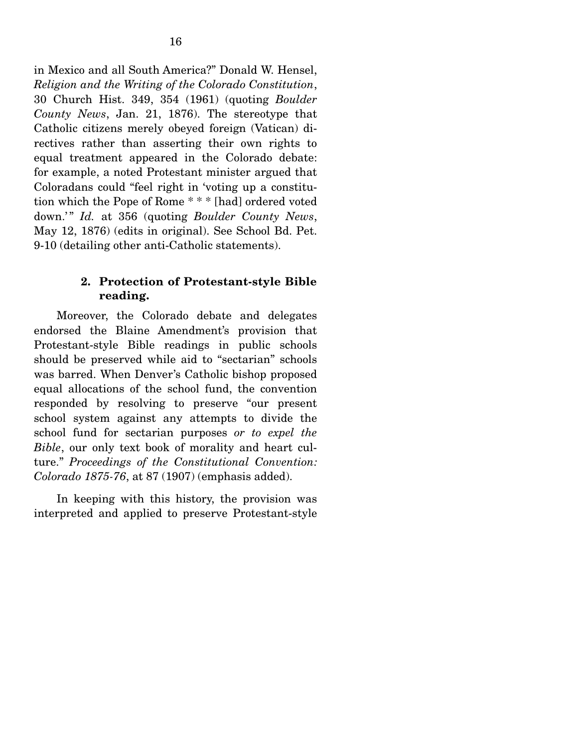in Mexico and all South America?" Donald W. Hensel, *Religion and the Writing of the Colorado Constitution*, 30 Church Hist. 349, 354 (1961) (quoting *Boulder County News*, Jan. 21, 1876). The stereotype that Catholic citizens merely obeyed foreign (Vatican) directives rather than asserting their own rights to equal treatment appeared in the Colorado debate: for example, a noted Protestant minister argued that Coloradans could "feel right in 'voting up a constitution which the Pope of Rome \* \* \* [had] ordered voted down.'" *Id.* at 356 (quoting *Boulder County News*, May 12, 1876) (edits in original). See School Bd. Pet. 9-10 (detailing other anti-Catholic statements).

## **2. Protection of Protestant-style Bible reading.**

 Moreover, the Colorado debate and delegates endorsed the Blaine Amendment's provision that Protestant-style Bible readings in public schools should be preserved while aid to "sectarian" schools was barred. When Denver's Catholic bishop proposed equal allocations of the school fund, the convention responded by resolving to preserve "our present school system against any attempts to divide the school fund for sectarian purposes *or to expel the Bible*, our only text book of morality and heart culture." *Proceedings of the Constitutional Convention: Colorado 1875-76*, at 87 (1907) (emphasis added).

 In keeping with this history, the provision was interpreted and applied to preserve Protestant-style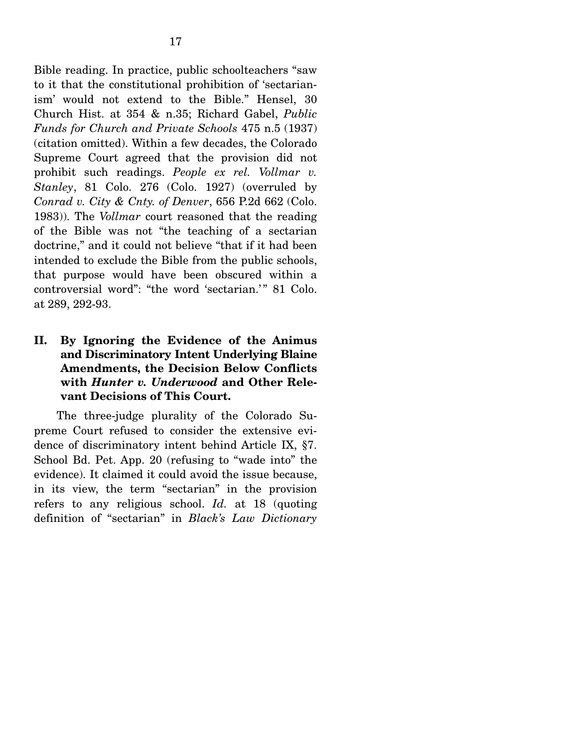Bible reading. In practice, public schoolteachers "saw to it that the constitutional prohibition of 'sectarianism' would not extend to the Bible." Hensel, 30 Church Hist. at 354 & n.35; Richard Gabel, *Public Funds for Church and Private Schools* 475 n.5 (1937) (citation omitted). Within a few decades, the Colorado Supreme Court agreed that the provision did not prohibit such readings. *People ex rel. Vollmar v. Stanley*, 81 Colo. 276 (Colo. 1927) (overruled by *Conrad v. City & Cnty. of Denver*, 656 P.2d 662 (Colo. 1983)). The *Vollmar* court reasoned that the reading of the Bible was not "the teaching of a sectarian doctrine," and it could not believe "that if it had been intended to exclude the Bible from the public schools, that purpose would have been obscured within a controversial word": "the word 'sectarian.'" 81 Colo. at 289, 292-93.

**II. By Ignoring the Evidence of the Animus and Discriminatory Intent Underlying Blaine Amendments, the Decision Below Conflicts with** *Hunter v. Underwood* **and Other Relevant Decisions of This Court.**

 The three-judge plurality of the Colorado Supreme Court refused to consider the extensive evidence of discriminatory intent behind Article IX, §7. School Bd. Pet. App. 20 (refusing to "wade into" the evidence). It claimed it could avoid the issue because, in its view, the term "sectarian" in the provision refers to any religious school. *Id.* at 18 (quoting definition of "sectarian" in *Black's Law Dictionary*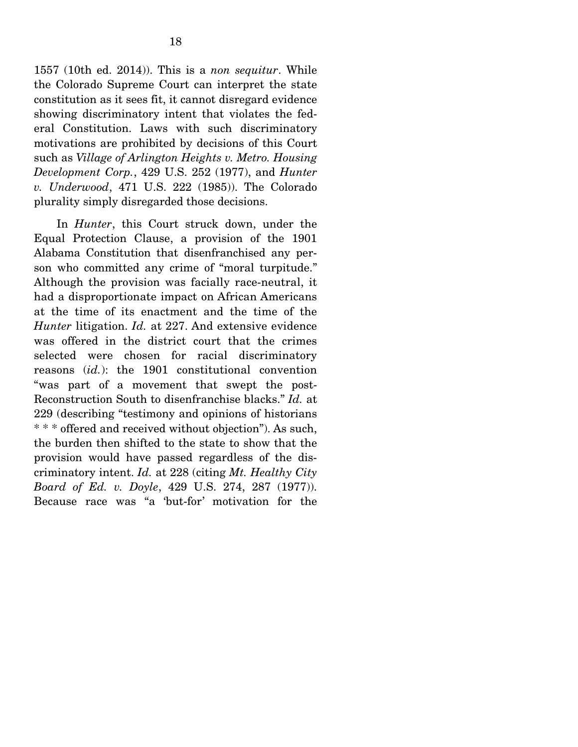1557 (10th ed. 2014)). This is a *non sequitur*. While the Colorado Supreme Court can interpret the state constitution as it sees fit, it cannot disregard evidence showing discriminatory intent that violates the federal Constitution. Laws with such discriminatory motivations are prohibited by decisions of this Court such as *Village of Arlington Heights v. Metro. Housing Development Corp.*, 429 U.S. 252 (1977), and *Hunter v. Underwood*, 471 U.S. 222 (1985)). The Colorado plurality simply disregarded those decisions.

 In *Hunter*, this Court struck down, under the Equal Protection Clause, a provision of the 1901 Alabama Constitution that disenfranchised any person who committed any crime of "moral turpitude." Although the provision was facially race-neutral, it had a disproportionate impact on African Americans at the time of its enactment and the time of the *Hunter* litigation. *Id.* at 227. And extensive evidence was offered in the district court that the crimes selected were chosen for racial discriminatory reasons (*id.*): the 1901 constitutional convention "was part of a movement that swept the post-Reconstruction South to disenfranchise blacks." *Id.* at 229 (describing "testimony and opinions of historians \* \* \* offered and received without objection"). As such, the burden then shifted to the state to show that the provision would have passed regardless of the discriminatory intent. *Id.* at 228 (citing *Mt. Healthy City Board of Ed. v. Doyle*, 429 U.S. 274, 287 (1977)). Because race was "a 'but-for' motivation for the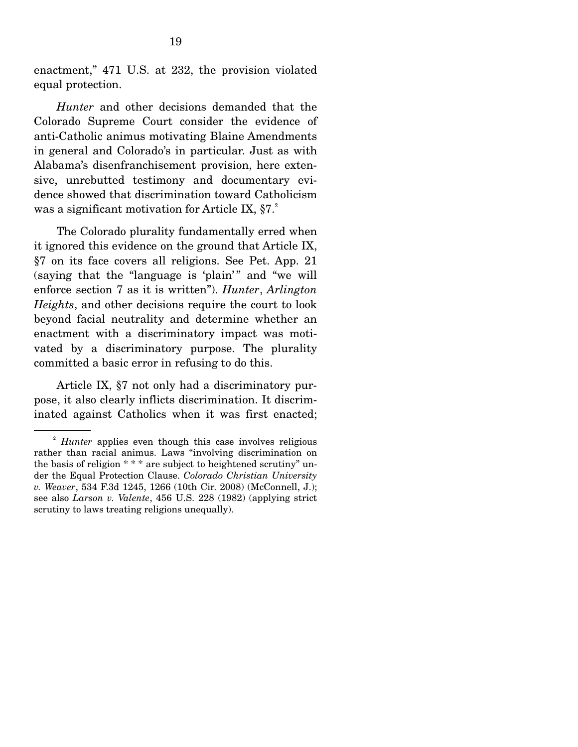enactment," 471 U.S. at 232, the provision violated equal protection.

 *Hunter* and other decisions demanded that the Colorado Supreme Court consider the evidence of anti-Catholic animus motivating Blaine Amendments in general and Colorado's in particular. Just as with Alabama's disenfranchisement provision, here extensive, unrebutted testimony and documentary evidence showed that discrimination toward Catholicism was a significant motivation for Article IX,  $\S 7.^2$ 

 The Colorado plurality fundamentally erred when it ignored this evidence on the ground that Article IX, §7 on its face covers all religions. See Pet. App. 21 (saying that the "language is 'plain'" and "we will enforce section 7 as it is written"). *Hunter*, *Arlington Heights*, and other decisions require the court to look beyond facial neutrality and determine whether an enactment with a discriminatory impact was motivated by a discriminatory purpose. The plurality committed a basic error in refusing to do this.

 Article IX, §7 not only had a discriminatory purpose, it also clearly inflicts discrimination. It discriminated against Catholics when it was first enacted;

<sup>2</sup> *Hunter* applies even though this case involves religious rather than racial animus. Laws "involving discrimination on the basis of religion \* \* \* are subject to heightened scrutiny" under the Equal Protection Clause. *Colorado Christian University v. Weaver*, 534 F.3d 1245, 1266 (10th Cir. 2008) (McConnell, J.); see also *Larson v. Valente*, 456 U.S. 228 (1982) (applying strict scrutiny to laws treating religions unequally).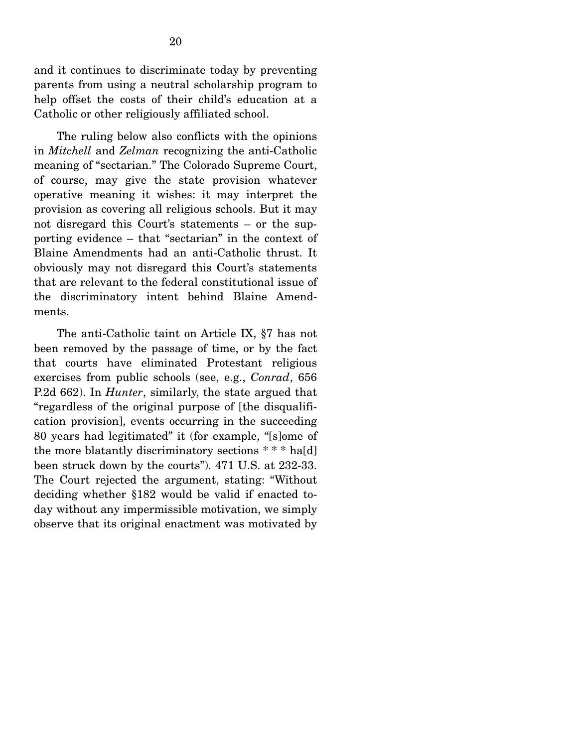and it continues to discriminate today by preventing parents from using a neutral scholarship program to help offset the costs of their child's education at a Catholic or other religiously affiliated school.

 The ruling below also conflicts with the opinions in *Mitchell* and *Zelman* recognizing the anti-Catholic meaning of "sectarian." The Colorado Supreme Court, of course, may give the state provision whatever operative meaning it wishes: it may interpret the provision as covering all religious schools. But it may not disregard this Court's statements – or the supporting evidence – that "sectarian" in the context of Blaine Amendments had an anti-Catholic thrust. It obviously may not disregard this Court's statements that are relevant to the federal constitutional issue of the discriminatory intent behind Blaine Amendments.

 The anti-Catholic taint on Article IX, §7 has not been removed by the passage of time, or by the fact that courts have eliminated Protestant religious exercises from public schools (see, e.g., *Conrad*, 656 P.2d 662). In *Hunter*, similarly, the state argued that "regardless of the original purpose of [the disqualification provision], events occurring in the succeeding 80 years had legitimated" it (for example, "[s]ome of the more blatantly discriminatory sections \* \* \* ha[d] been struck down by the courts"). 471 U.S. at 232-33. The Court rejected the argument, stating: "Without deciding whether §182 would be valid if enacted today without any impermissible motivation, we simply observe that its original enactment was motivated by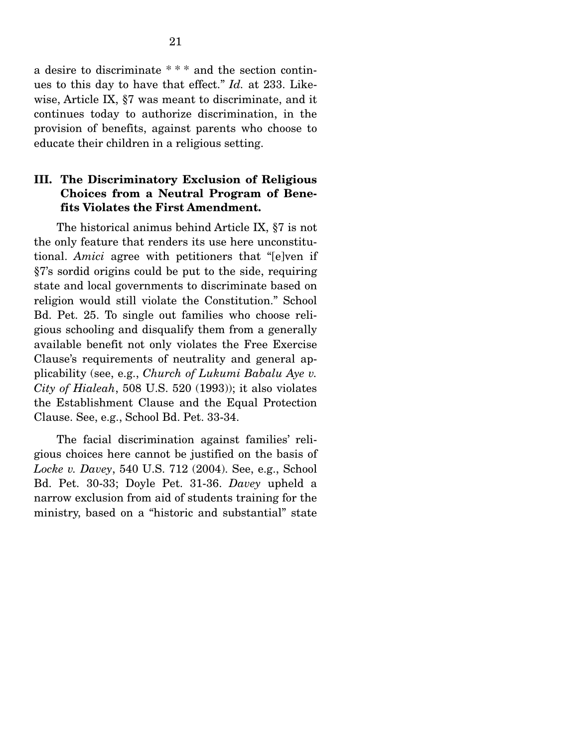a desire to discriminate \* \* \* and the section continues to this day to have that effect." *Id.* at 233. Likewise, Article IX, §7 was meant to discriminate, and it continues today to authorize discrimination, in the provision of benefits, against parents who choose to educate their children in a religious setting.

## **III. The Discriminatory Exclusion of Religious Choices from a Neutral Program of Benefits Violates the First Amendment.**

 The historical animus behind Article IX, §7 is not the only feature that renders its use here unconstitutional. *Amici* agree with petitioners that "[e]ven if §7's sordid origins could be put to the side, requiring state and local governments to discriminate based on religion would still violate the Constitution." School Bd. Pet. 25. To single out families who choose religious schooling and disqualify them from a generally available benefit not only violates the Free Exercise Clause's requirements of neutrality and general applicability (see, e.g., *Church of Lukumi Babalu Aye v. City of Hialeah*, 508 U.S. 520 (1993)); it also violates the Establishment Clause and the Equal Protection Clause. See, e.g., School Bd. Pet. 33-34.

 The facial discrimination against families' religious choices here cannot be justified on the basis of *Locke v. Davey*, 540 U.S. 712 (2004). See, e.g., School Bd. Pet. 30-33; Doyle Pet. 31-36. *Davey* upheld a narrow exclusion from aid of students training for the ministry, based on a "historic and substantial" state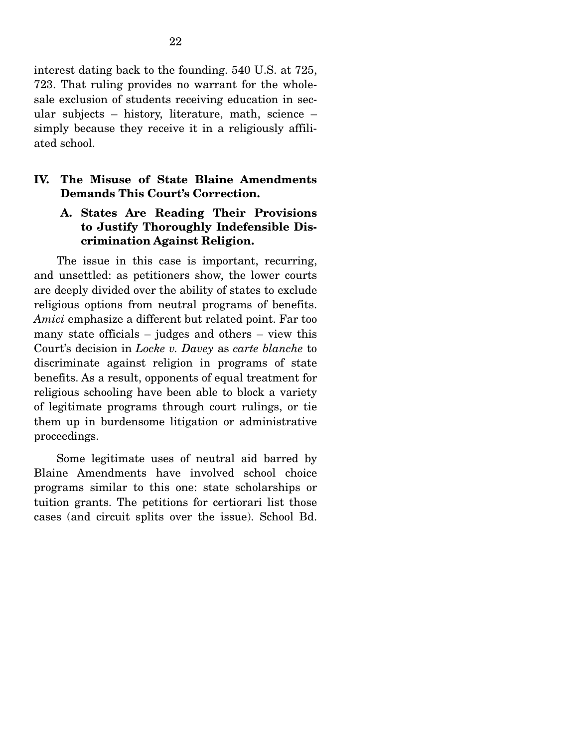interest dating back to the founding. 540 U.S. at 725, 723. That ruling provides no warrant for the wholesale exclusion of students receiving education in secular subjects – history, literature, math, science – simply because they receive it in a religiously affiliated school.

# **IV. The Misuse of State Blaine Amendments Demands This Court's Correction.**

# **A. States Are Reading Their Provisions to Justify Thoroughly Indefensible Discrimination Against Religion.**

 The issue in this case is important, recurring, and unsettled: as petitioners show, the lower courts are deeply divided over the ability of states to exclude religious options from neutral programs of benefits. *Amici* emphasize a different but related point. Far too many state officials – judges and others – view this Court's decision in *Locke v. Davey* as *carte blanche* to discriminate against religion in programs of state benefits. As a result, opponents of equal treatment for religious schooling have been able to block a variety of legitimate programs through court rulings, or tie them up in burdensome litigation or administrative proceedings.

 Some legitimate uses of neutral aid barred by Blaine Amendments have involved school choice programs similar to this one: state scholarships or tuition grants. The petitions for certiorari list those cases (and circuit splits over the issue). School Bd.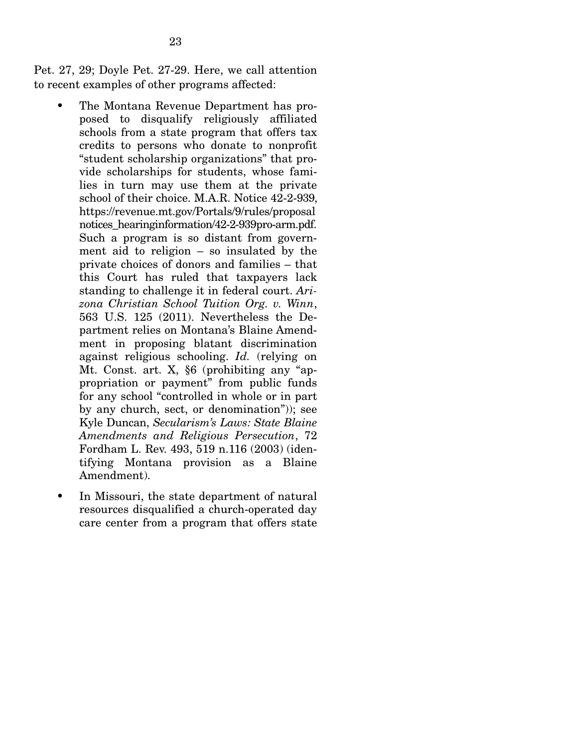Pet. 27, 29; Doyle Pet. 27-29. Here, we call attention to recent examples of other programs affected:

- The Montana Revenue Department has proposed to disqualify religiously affiliated schools from a state program that offers tax credits to persons who donate to nonprofit "student scholarship organizations" that provide scholarships for students, whose families in turn may use them at the private school of their choice. M.A.R. Notice 42-2-939, https://revenue.mt.gov/Portals/9/rules/proposal notices\_hearinginformation/42-2-939pro-arm.pdf. Such a program is so distant from government aid to religion – so insulated by the private choices of donors and families – that this Court has ruled that taxpayers lack standing to challenge it in federal court. *Arizona Christian School Tuition Org. v. Winn*, 563 U.S. 125 (2011). Nevertheless the Department relies on Montana's Blaine Amendment in proposing blatant discrimination against religious schooling. *Id.* (relying on Mt. Const. art. X, §6 (prohibiting any "appropriation or payment" from public funds for any school "controlled in whole or in part by any church, sect, or denomination")); see Kyle Duncan, *Secularism's Laws: State Blaine Amendments and Religious Persecution*, 72 Fordham L. Rev. 493, 519 n.116 (2003) (identifying Montana provision as a Blaine Amendment).
- In Missouri, the state department of natural resources disqualified a church-operated day care center from a program that offers state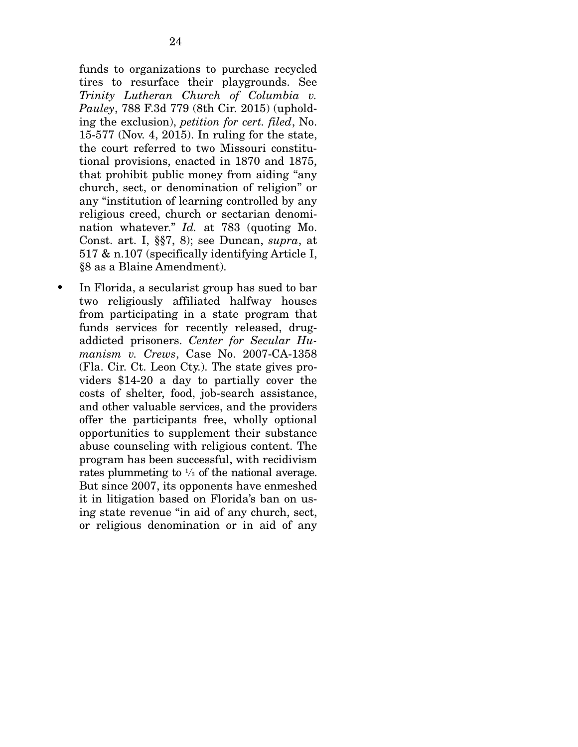funds to organizations to purchase recycled tires to resurface their playgrounds. See *Trinity Lutheran Church of Columbia v. Pauley*, 788 F.3d 779 (8th Cir. 2015) (upholding the exclusion), *petition for cert. filed*, No. 15-577 (Nov. 4, 2015). In ruling for the state, the court referred to two Missouri constitutional provisions, enacted in 1870 and 1875, that prohibit public money from aiding "any church, sect, or denomination of religion" or any "institution of learning controlled by any religious creed, church or sectarian denomination whatever." *Id.* at 783 (quoting Mo. Const. art. I, §§7, 8); see Duncan, *supra*, at 517 & n.107 (specifically identifying Article I, §8 as a Blaine Amendment).

• In Florida, a secularist group has sued to bar two religiously affiliated halfway houses from participating in a state program that funds services for recently released, drugaddicted prisoners. *Center for Secular Humanism v. Crews*, Case No. 2007-CA-1358 (Fla. Cir. Ct. Leon Cty.). The state gives providers \$14-20 a day to partially cover the costs of shelter, food, job-search assistance, and other valuable services, and the providers offer the participants free, wholly optional opportunities to supplement their substance abuse counseling with religious content. The program has been successful, with recidivism rates plummeting to <sup>1</sup>/<sub>3</sub> of the national average. But since 2007, its opponents have enmeshed it in litigation based on Florida's ban on using state revenue "in aid of any church, sect, or religious denomination or in aid of any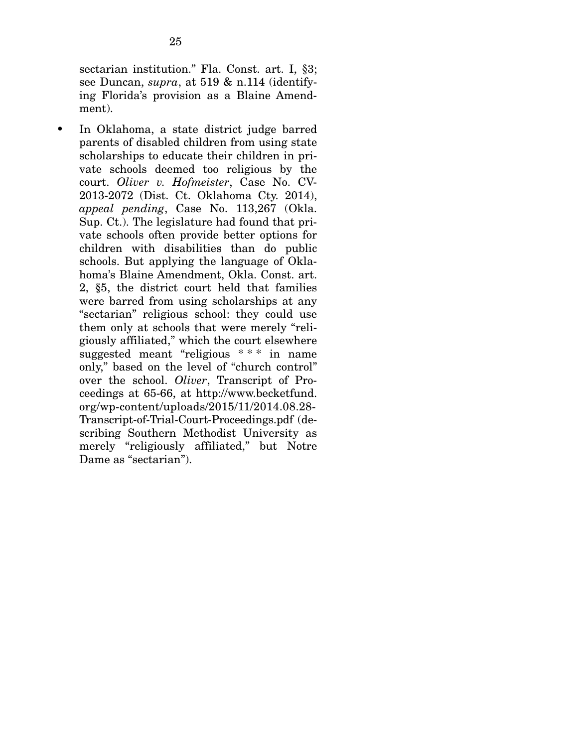sectarian institution." Fla. Const. art. I, §3; see Duncan, *supra*, at 519 & n.114 (identifying Florida's provision as a Blaine Amendment).

• In Oklahoma, a state district judge barred parents of disabled children from using state scholarships to educate their children in private schools deemed too religious by the court. *Oliver v. Hofmeister*, Case No. CV-2013-2072 (Dist. Ct. Oklahoma Cty. 2014), *appeal pending*, Case No. 113,267 (Okla. Sup. Ct.). The legislature had found that private schools often provide better options for children with disabilities than do public schools. But applying the language of Oklahoma's Blaine Amendment, Okla. Const. art. 2, §5, the district court held that families were barred from using scholarships at any "sectarian" religious school: they could use them only at schools that were merely "religiously affiliated," which the court elsewhere suggested meant "religious \* \* \* in name only," based on the level of "church control" over the school. *Oliver*, Transcript of Proceedings at 65-66, at http://www.becketfund. org/wp-content/uploads/2015/11/2014.08.28- Transcript-of-Trial-Court-Proceedings.pdf (describing Southern Methodist University as merely "religiously affiliated," but Notre Dame as "sectarian").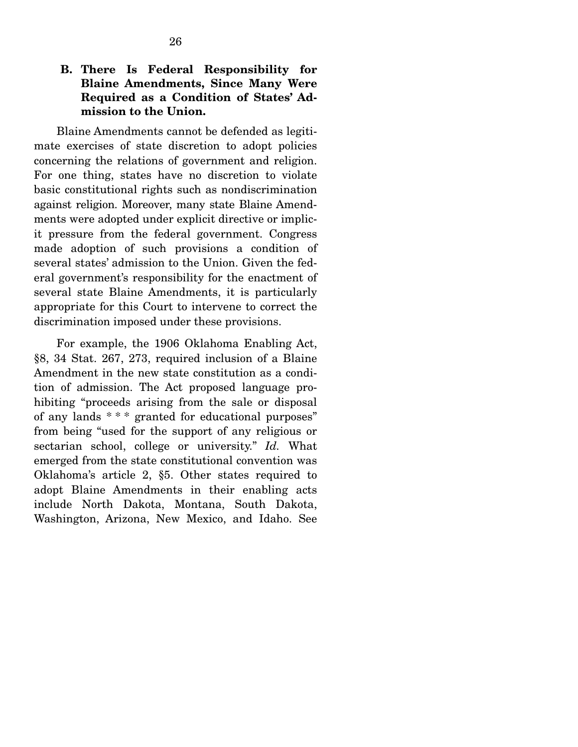# **B. There Is Federal Responsibility for Blaine Amendments, Since Many Were Required as a Condition of States' Admission to the Union.**

 Blaine Amendments cannot be defended as legitimate exercises of state discretion to adopt policies concerning the relations of government and religion. For one thing, states have no discretion to violate basic constitutional rights such as nondiscrimination against religion. Moreover, many state Blaine Amendments were adopted under explicit directive or implicit pressure from the federal government. Congress made adoption of such provisions a condition of several states' admission to the Union. Given the federal government's responsibility for the enactment of several state Blaine Amendments, it is particularly appropriate for this Court to intervene to correct the discrimination imposed under these provisions.

 For example, the 1906 Oklahoma Enabling Act, §8, 34 Stat. 267, 273, required inclusion of a Blaine Amendment in the new state constitution as a condition of admission. The Act proposed language prohibiting "proceeds arising from the sale or disposal of any lands \* \* \* granted for educational purposes" from being "used for the support of any religious or sectarian school, college or university." *Id.* What emerged from the state constitutional convention was Oklahoma's article 2, §5. Other states required to adopt Blaine Amendments in their enabling acts include North Dakota, Montana, South Dakota, Washington, Arizona, New Mexico, and Idaho. See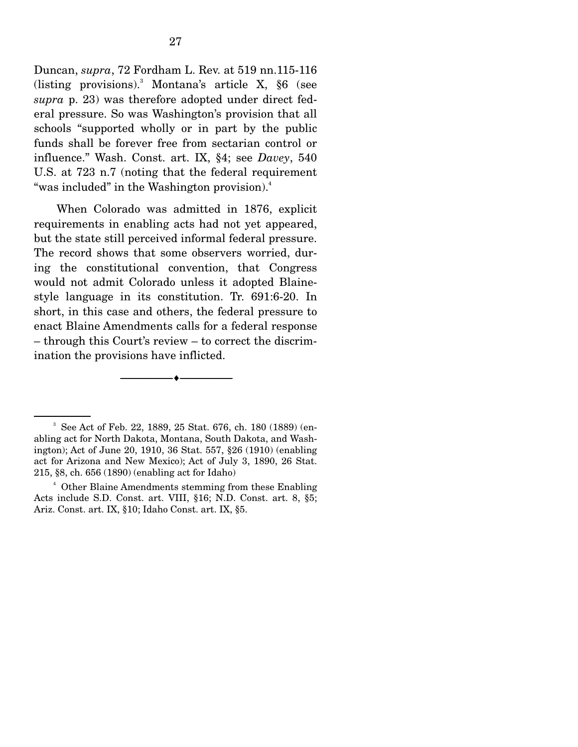Duncan, *supra*, 72 Fordham L. Rev. at 519 nn.115-116 (listing provisions).3 Montana's article X, §6 (see *supra* p. 23) was therefore adopted under direct federal pressure. So was Washington's provision that all schools "supported wholly or in part by the public funds shall be forever free from sectarian control or influence." Wash. Const. art. IX, §4; see *Davey*, 540 U.S. at 723 n.7 (noting that the federal requirement "was included" in the Washington provision).<sup>4</sup>

 When Colorado was admitted in 1876, explicit requirements in enabling acts had not yet appeared, but the state still perceived informal federal pressure. The record shows that some observers worried, during the constitutional convention, that Congress would not admit Colorado unless it adopted Blainestyle language in its constitution. Tr. 691:6-20. In short, in this case and others, the federal pressure to enact Blaine Amendments calls for a federal response – through this Court's review – to correct the discrimination the provisions have inflicted.

--------------------------------- ---------------------------------

<sup>3</sup> See Act of Feb. 22, 1889, 25 Stat. 676, ch. 180 (1889) (enabling act for North Dakota, Montana, South Dakota, and Washington); Act of June 20, 1910, 36 Stat. 557, §26 (1910) (enabling act for Arizona and New Mexico); Act of July 3, 1890, 26 Stat. 215, §8, ch. 656 (1890) (enabling act for Idaho)

<sup>4</sup> Other Blaine Amendments stemming from these Enabling Acts include S.D. Const. art. VIII, §16; N.D. Const. art. 8, §5; Ariz. Const. art. IX, §10; Idaho Const. art. IX, §5.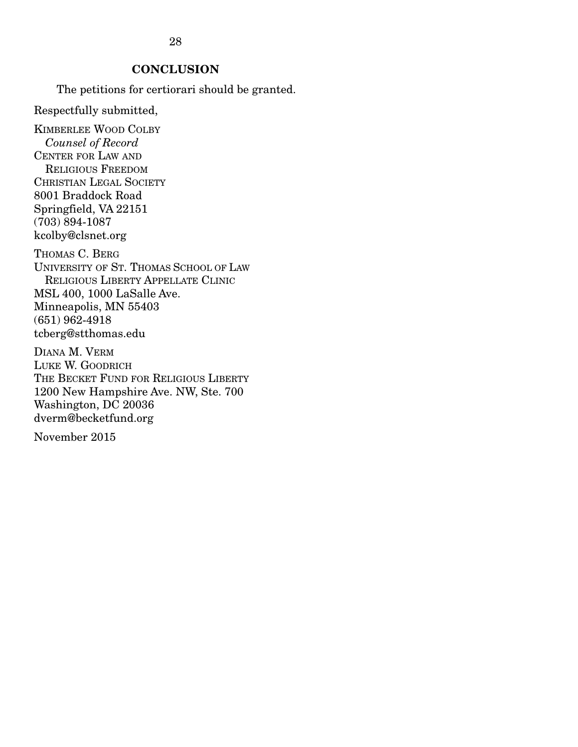# 28

# **CONCLUSION**

The petitions for certiorari should be granted.

Respectfully submitted,

KIMBERLEE WOOD COLBY  *Counsel of Record*  CENTER FOR LAW AND RELIGIOUS FREEDOM CHRISTIAN LEGAL SOCIETY 8001 Braddock Road Springfield, VA 22151 (703) 894-1087 kcolby@clsnet.org THOMAS C. BERG UNIVERSITY OF ST. THOMAS SCHOOL OF LAW RELIGIOUS LIBERTY APPELLATE CLINIC MSL 400, 1000 LaSalle Ave. Minneapolis, MN 55403 (651) 962-4918 tcberg@stthomas.edu

DIANA M. VERM LUKE W. GOODRICH THE BECKET FUND FOR RELIGIOUS LIBERTY 1200 New Hampshire Ave. NW, Ste. 700 Washington, DC 20036 dverm@becketfund.org

November 2015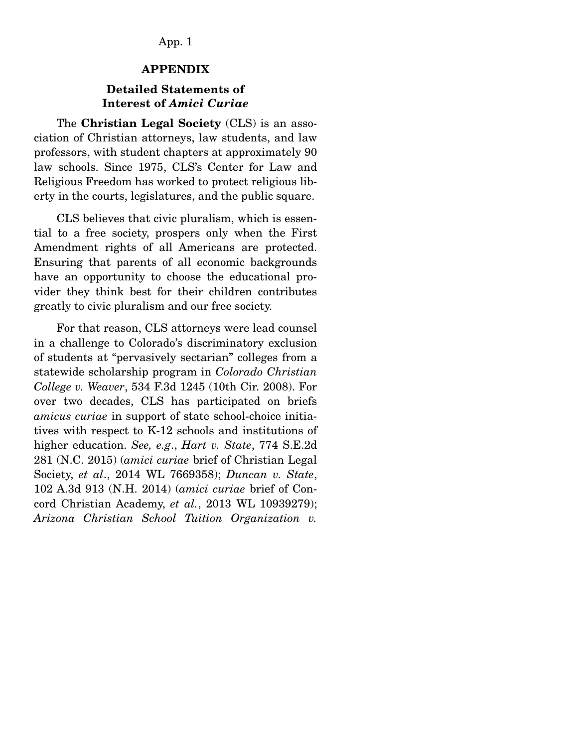## App. 1

#### **APPENDIX**

## **Detailed Statements of Interest of** *Amici Curiae*

 The **Christian Legal Society** (CLS) is an association of Christian attorneys, law students, and law professors, with student chapters at approximately 90 law schools. Since 1975, CLS's Center for Law and Religious Freedom has worked to protect religious liberty in the courts, legislatures, and the public square.

 CLS believes that civic pluralism, which is essential to a free society, prospers only when the First Amendment rights of all Americans are protected. Ensuring that parents of all economic backgrounds have an opportunity to choose the educational provider they think best for their children contributes greatly to civic pluralism and our free society.

 For that reason, CLS attorneys were lead counsel in a challenge to Colorado's discriminatory exclusion of students at "pervasively sectarian" colleges from a statewide scholarship program in *Colorado Christian College v. Weaver*, 534 F.3d 1245 (10th Cir. 2008). For over two decades, CLS has participated on briefs *amicus curiae* in support of state school-choice initiatives with respect to K-12 schools and institutions of higher education. *See, e.g*., *Hart v. State*, 774 S.E.2d 281 (N.C. 2015) (*amici curiae* brief of Christian Legal Society, *et al*., 2014 WL 7669358); *Duncan v. State*, 102 A.3d 913 (N.H. 2014) (*amici curiae* brief of Concord Christian Academy, *et al.*, 2013 WL 10939279); *Arizona Christian School Tuition Organization v.*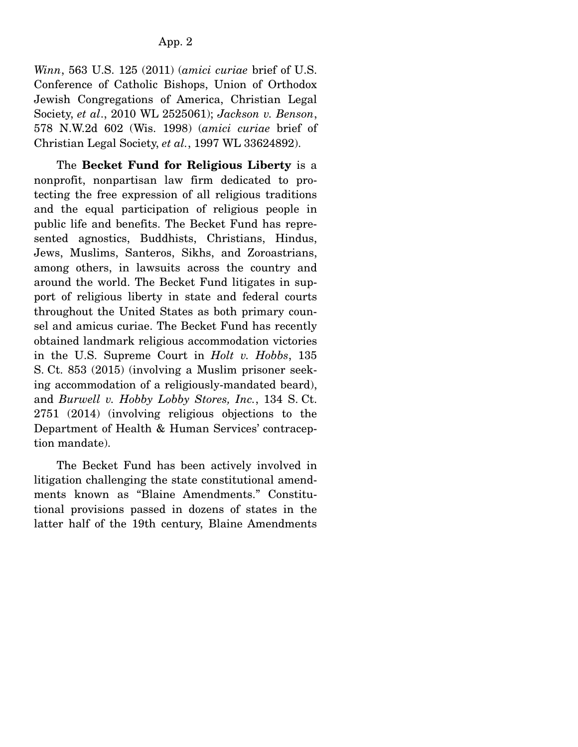*Winn*, 563 U.S. 125 (2011) (*amici curiae* brief of U.S. Conference of Catholic Bishops, Union of Orthodox Jewish Congregations of America, Christian Legal Society, *et al*., 2010 WL 2525061); *Jackson v. Benson*, 578 N.W.2d 602 (Wis. 1998) (*amici curiae* brief of Christian Legal Society, *et al.*, 1997 WL 33624892).

 The **Becket Fund for Religious Liberty** is a nonprofit, nonpartisan law firm dedicated to protecting the free expression of all religious traditions and the equal participation of religious people in public life and benefits. The Becket Fund has represented agnostics, Buddhists, Christians, Hindus, Jews, Muslims, Santeros, Sikhs, and Zoroastrians, among others, in lawsuits across the country and around the world. The Becket Fund litigates in support of religious liberty in state and federal courts throughout the United States as both primary counsel and amicus curiae. The Becket Fund has recently obtained landmark religious accommodation victories in the U.S. Supreme Court in *Holt v. Hobbs*, 135 S. Ct. 853 (2015) (involving a Muslim prisoner seeking accommodation of a religiously-mandated beard), and *Burwell v. Hobby Lobby Stores, Inc.*, 134 S. Ct. 2751 (2014) (involving religious objections to the Department of Health & Human Services' contraception mandate).

 The Becket Fund has been actively involved in litigation challenging the state constitutional amendments known as "Blaine Amendments." Constitutional provisions passed in dozens of states in the latter half of the 19th century, Blaine Amendments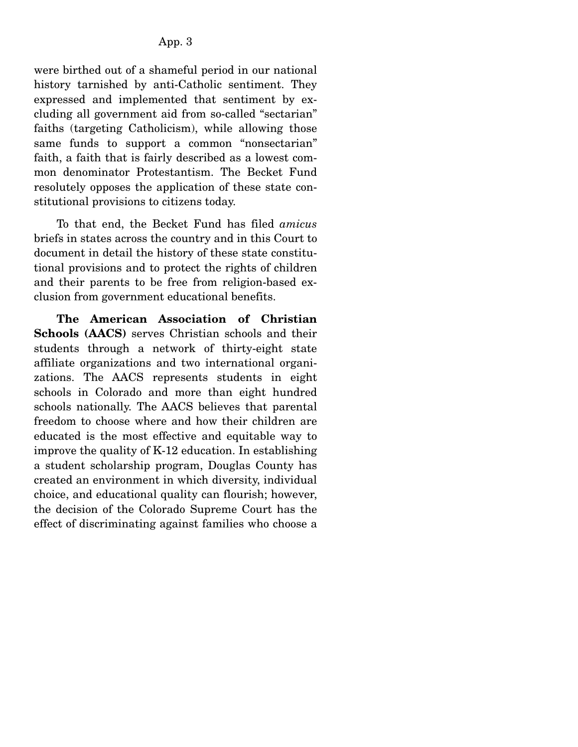were birthed out of a shameful period in our national history tarnished by anti-Catholic sentiment. They expressed and implemented that sentiment by excluding all government aid from so-called "sectarian" faiths (targeting Catholicism), while allowing those same funds to support a common "nonsectarian" faith, a faith that is fairly described as a lowest common denominator Protestantism. The Becket Fund resolutely opposes the application of these state constitutional provisions to citizens today.

 To that end, the Becket Fund has filed *amicus* briefs in states across the country and in this Court to document in detail the history of these state constitutional provisions and to protect the rights of children and their parents to be free from religion-based exclusion from government educational benefits.

 **The American Association of Christian Schools (AACS)** serves Christian schools and their students through a network of thirty-eight state affiliate organizations and two international organizations. The AACS represents students in eight schools in Colorado and more than eight hundred schools nationally. The AACS believes that parental freedom to choose where and how their children are educated is the most effective and equitable way to improve the quality of K-12 education. In establishing a student scholarship program, Douglas County has created an environment in which diversity, individual choice, and educational quality can flourish; however, the decision of the Colorado Supreme Court has the effect of discriminating against families who choose a